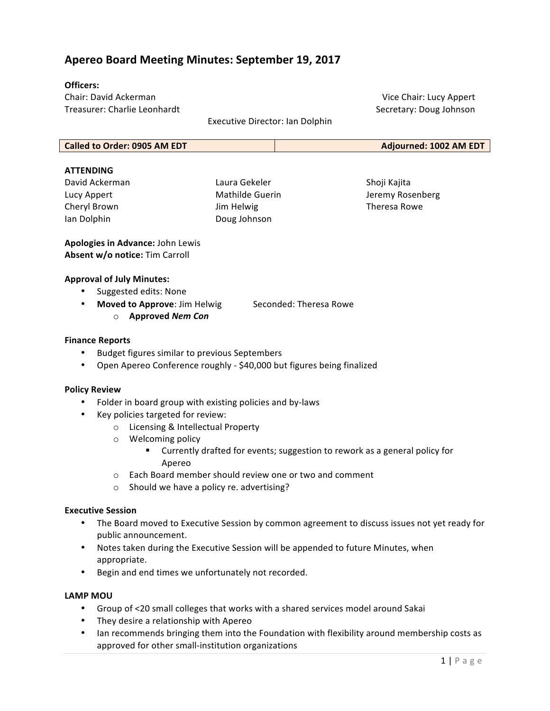# **Apereo Board Meeting Minutes: September 19, 2017**

### **Officers:**

Chair: David Ackerman Treasurer: Charlie Leonhardt

Executive Director: Ian Dolphin

Vice Chair: Lucy Appert Secretary: Doug Johnson

| Called to Order: 0905 AM EDT | Adjourned: 1002 AM EDT |
|------------------------------|------------------------|
|                              |                        |

#### **ATTENDING**

David Ackerman Lucy Appert Cheryl Brown Ian Dolphin

Laura Gekeler Mathilde Guerin Jim Helwig Doug Johnson

Shoji Kajita Jeremy Rosenberg Theresa Rowe

**Apologies in Advance:** John Lewis **Absent w/o notice:** Tim Carroll

#### **Approval of July Minutes:**

- Suggested edits: None
- **Moved to Approve**: Jim Helwig Seconded: Theresa Rowe o **Approved** *Nem Con*

#### **Finance Reports**

- Budget figures similar to previous Septembers
- Open Apereo Conference roughly \$40,000 but figures being finalized

#### **Policy Review**

- Folder in board group with existing policies and by-laws
- Key policies targeted for review:
	- o Licensing & Intellectual Property
	- $\circ$  Welcoming policy
		- Currently drafted for events; suggestion to rework as a general policy for Apereo
	- $\circ$  Each Board member should review one or two and comment
	- o Should we have a policy re. advertising?

#### **Executive Session**

- The Board moved to Executive Session by common agreement to discuss issues not yet ready for public announcement.
- Notes taken during the Executive Session will be appended to future Minutes, when appropriate.
- Begin and end times we unfortunately not recorded.

#### **LAMP MOU**

- Group of <20 small colleges that works with a shared services model around Sakai
- They desire a relationship with Apereo
- Ian recommends bringing them into the Foundation with flexibility around membership costs as approved for other small-institution organizations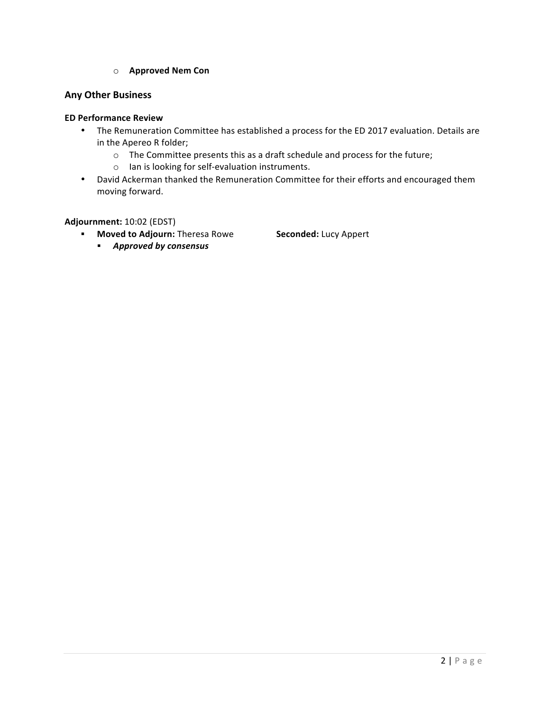o **Approved Nem Con**

## **Any Other Business**

## **ED Performance Review**

- The Remuneration Committee has established a process for the ED 2017 evaluation. Details are in the Apereo R folder;
	- o The Committee presents this as a draft schedule and process for the future;
	- $\circ$  Ian is looking for self-evaluation instruments.
- David Ackerman thanked the Remuneration Committee for their efforts and encouraged them moving forward.

**Adjournment:** 10:02 (EDST)

**EXECTE:** Moved to Adjourn: Theresa Rowe **Seconded:** Lucy Appert

§ *Approved by consensus*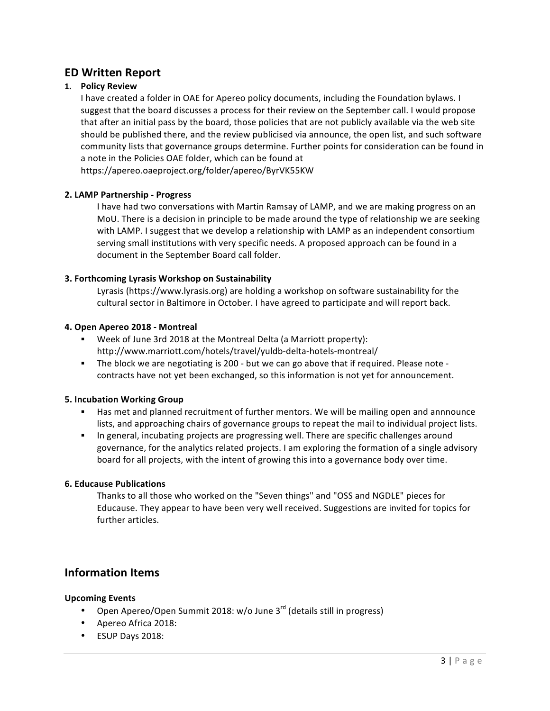# **ED Written Report**

## **1. Policy Review**

I have created a folder in OAE for Apereo policy documents, including the Foundation bylaws. I suggest that the board discusses a process for their review on the September call. I would propose that after an initial pass by the board, those policies that are not publicly available via the web site should be published there, and the review publicised via announce, the open list, and such software community lists that governance groups determine. Further points for consideration can be found in a note in the Policies OAE folder, which can be found at

https://apereo.oaeproject.org/folder/apereo/ByrVK55KW

### **2. LAMP Partnership - Progress**

I have had two conversations with Martin Ramsay of LAMP, and we are making progress on an MoU. There is a decision in principle to be made around the type of relationship we are seeking with LAMP. I suggest that we develop a relationship with LAMP as an independent consortium serving small institutions with very specific needs. A proposed approach can be found in a document in the September Board call folder.

### **3. Forthcoming Lyrasis Workshop on Sustainability**

Lyrasis (https://www.lyrasis.org) are holding a workshop on software sustainability for the cultural sector in Baltimore in October. I have agreed to participate and will report back.

### **4. Open Apereo 2018 - Montreal**

- Week of June 3rd 2018 at the Montreal Delta (a Marriott property): http://www.marriott.com/hotels/travel/yuldb-delta-hotels-montreal/
- **•** The block we are negotiating is 200 but we can go above that if required. Please note contracts have not yet been exchanged, so this information is not yet for announcement.

### **5. Incubation Working Group**

- **■** Has met and planned recruitment of further mentors. We will be mailing open and annnounce lists, and approaching chairs of governance groups to repeat the mail to individual project lists.
- **•** In general, incubating projects are progressing well. There are specific challenges around governance, for the analytics related projects. I am exploring the formation of a single advisory board for all projects, with the intent of growing this into a governance body over time.

### **6. Educause Publications**

Thanks to all those who worked on the "Seven things" and "OSS and NGDLE" pieces for Educause. They appear to have been very well received. Suggestions are invited for topics for further articles.

# **Information Items**

### **Upcoming Events**

- Open Apereo/Open Summit 2018:  $w$ /o June 3<sup>rd</sup> (details still in progress)
- Apereo Africa 2018:
- ESUP Days 2018: